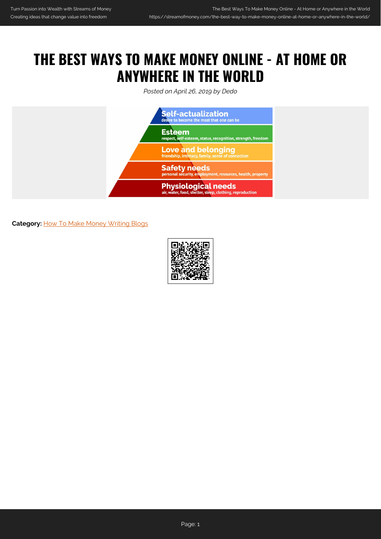## **THE BEST WAYS TO MAKE MONEY ONLINE - AT HOME OR ANYWHERE IN THE WORLD**

*Posted on April 26, 2019 by Dedo*



**Category:** [How To Make Money Writing Blogs](https://streamofmoney.com/category/how-to-make-money-writing-blogs/)

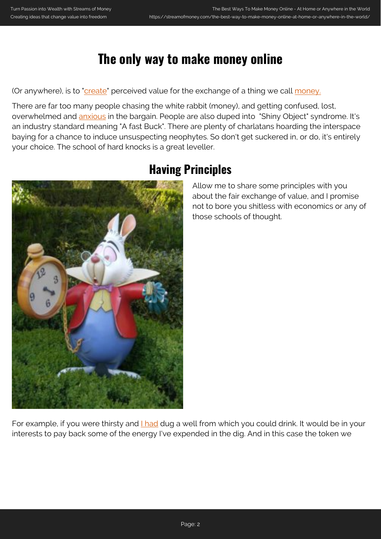## **The only way to make money online**

(Or anywhere), is to "[create](https://streamofmoney.com/create-my-own-website-free/)" perceived value for the exchange of a thing we call [money.](https://streamofmoney.com/money/)

There are far too many people chasing the white rabbit (money), and getting confused, lost, overwhelmed and **anxious** in the bargain. People are also duped into "Shiny Object" syndrome. It's an industry standard meaning "A fast Buck". There are plenty of charlatans hoarding the interspace baying for a chance to induce unsuspecting neophytes. So don't get suckered in, or do, it's entirely your choice. The school of hard knocks is a great leveller.



#### **Having Principles**

Allow me to share some principles with you about the fair exchange of value, and I promise not to bore you shitless with economics or any of those schools of thought.

For example, if you were thirsty and [I had](https://streamofmoney.com/about-me/) dug a well from which you could drink. It would be in your interests to pay back some of the energy I've expended in the dig. And in this case the token we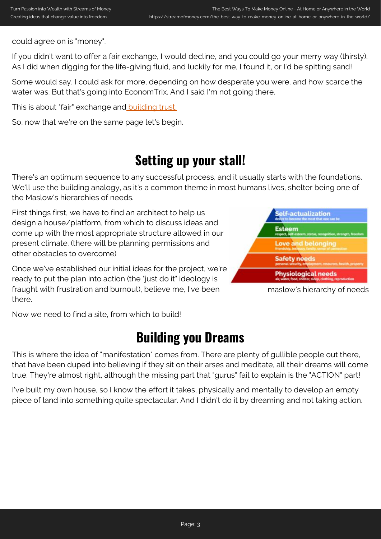could agree on is "money".

If you didn't want to offer a fair exchange, I would decline, and you could go your merry way (thirsty). As I did when digging for the life-giving fluid, and luckily for me, I found it, or I'd be spitting sand!

Some would say, I could ask for more, depending on how desperate you were, and how scarce the water was. But that's going into EconomTrix. And I said I'm not going there.

This is about "fair" exchange and [building trust.](https://streamofmoney.com/)

So, now that we're on the same page let's begin.

#### **Setting up your stall!**

There's an optimum sequence to any successful process, and it usually starts with the foundations. We'll use the building analogy, as it's a common theme in most humans lives, shelter being one of the Maslow's hierarchies of needs.

First things first, we have to find an architect to help us design a house/platform, from which to discuss ideas and come up with the most appropriate structure allowed in our present climate. (there will be planning permissions and other obstacles to overcome)

Once we've established our initial ideas for the project, we're ready to put the plan into action (the "just do it" ideology is fraught with frustration and burnout), believe me, I've been there.

Now we need to find a site, from which to build!

### **Building you Dreams**

This is where the idea of "manifestation" comes from. There are plenty of gullible people out there, that have been duped into believing if they sit on their arses and meditate, all their dreams will come true. They're almost right, although the missing part that "gurus" fail to explain is the "ACTION" part!

I've built my own house, so I know the effort it takes, physically and mentally to develop an empty piece of land into something quite spectacular. And I didn't do it by dreaming and not taking action.



maslow's hierarchy of needs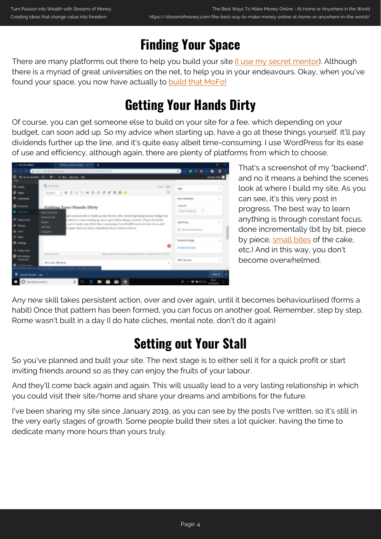## **Finding Your Space**

There are many platforms out there to help you build your site [\(I use my secret mentor](https://www.wealthyaffiliate.com/a_aid/a252ca8b/campaign/streamofmoney)). Although there is a myriad of great universities on the net, to help you in your endeavours. Okay, when you've found your space, you now have actually to [build that MoFo!](https://streamofmoney.com/create-my-own-website-free/)

### **Getting Your Hands Dirty**

Of course, you can get someone else to build on your site for a fee, which depending on your budget, can soon add up. So my advice when starting up, have a go at these things yourself. It'll pay dividends further up the line, and it's quite easy albeit time-consuming. I use WordPress for its ease of use and efficiency, although again, there are plenty of platforms from which to choose.



That's a screenshot of my "backend", and no it means a behind the scenes look at where I build my site. As you can see, it's this very post in progress. The best way to learn anything is through constant focus, done incrementally (bit by bit, piece by piece, [small bites](https://streamofmoney.com/how-to-slow-down-time-and-get-more-done/) of the cake, etc.) And in this way, you don't become overwhelmed.

Any new skill takes persistent action, over and over again, until it becomes behaviourlised (forms a habit) Once that pattern has been formed, you can focus on another goal. Remember, step by step, Rome wasn't built in a day (I do hate cliches, mental note, don't do it again)

# **Setting out Your Stall**

So you've planned and built your site. The next stage is to either sell it for a quick profit or start inviting friends around so as they can enjoy the fruits of your labour.

And they'll come back again and again. This will usually lead to a very lasting relationship in which you could visit their site/home and share your dreams and ambitions for the future.

I've been sharing my site since January 2019, as you can see by the posts I've written, so it's still in the very early stages of growth. Some people build their sites a lot quicker, having the time to dedicate many more hours than yours truly.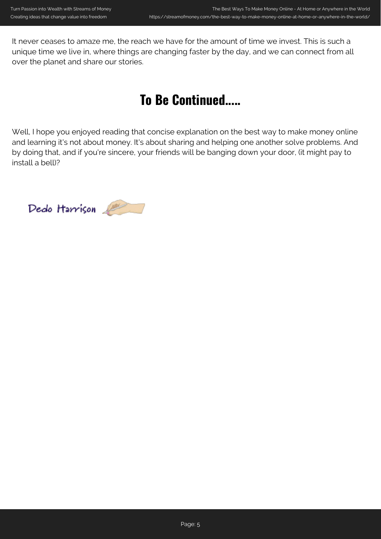It never ceases to amaze me, the reach we have for the amount of time we invest. This is such a unique time we live in, where things are changing faster by the day, and we can connect from all over the planet and share our stories.

### **To Be Continued.....**

Well, I hope you enjoyed reading that concise explanation on the best way to make money online and learning it's not about money. It's about sharing and helping one another solve problems. And by doing that, and if you're sincere, your friends will be banging down your door, (it might pay to install a bell)?

Dedo Harrison